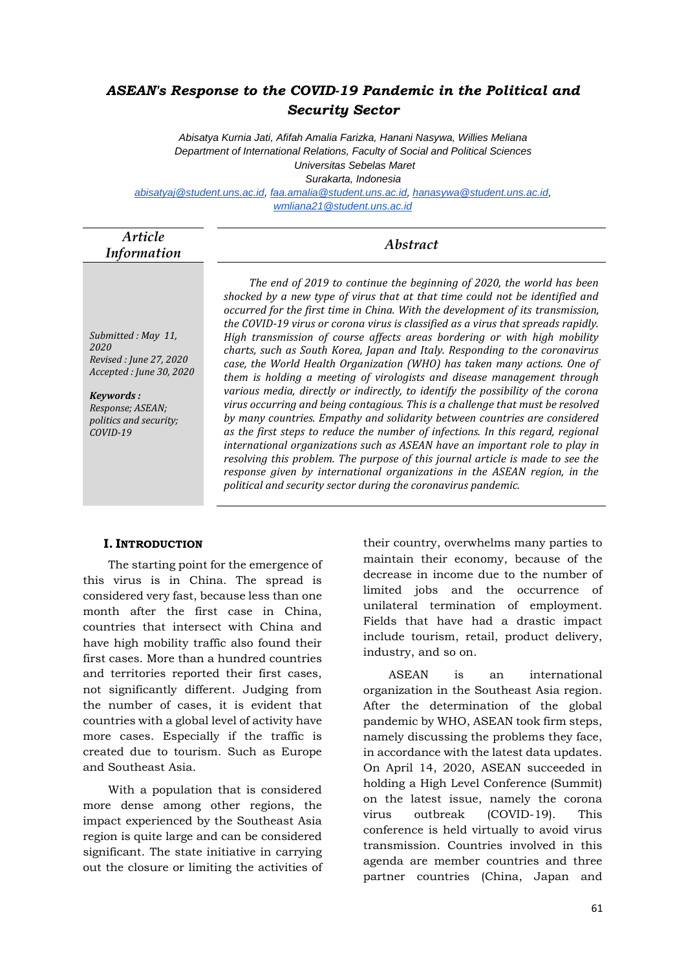# *ASEAN's Response to the COVID-19 Pandemic in the Political and Security Sector*

*Abisatya Kurnia Jati, Afifah Amalia Farizka, Hanani Nasywa, Willies Meliana Department of International Relations, Faculty of Social and Political Sciences Universitas Sebelas Maret*

*Surakarta, Indonesia*

*[abisatyaj@student.uns.ac.id,](mailto:abisatyaj@student.uns.ac.id) [faa.amalia@student.uns.ac.id,](mailto:faa.amalia@student.uns.ac.id) [hanasywa@student.uns.ac.id,](mailto:hanasywa@student.uns.ac.id) [wmliana21@student.uns.ac.id](mailto:wmliana21@student.uns.ac.id)*

| Article     | Abstract |
|-------------|----------|
| Information |          |

*Submitted : May 11, 2020 Revised : June 27, 2020 Accepted : June 30, 2020*

*Keywords : Response; ASEAN; politics and security; COVID-19*

*The end of 2019 to continue the beginning of 2020, the world has been shocked by a new type of virus that at that time could not be identified and occurred for the first time in China. With the development of its transmission, the COVID-19 virus or corona virus is classified as a virus that spreads rapidly. High transmission of course affects areas bordering or with high mobility charts, such as South Korea, Japan and Italy. Responding to the coronavirus case, the World Health Organization (WHO) has taken many actions. One of them is holding a meeting of virologists and disease management through various media, directly or indirectly, to identify the possibility of the corona virus occurring and being contagious. This is a challenge that must be resolved by many countries. Empathy and solidarity between countries are considered as the first steps to reduce the number of infections. In this regard, regional international organizations such as ASEAN have an important role to play in resolving this problem. The purpose of this journal article is made to see the response given by international organizations in the ASEAN region, in the political and security sector during the coronavirus pandemic.*

## **I. INTRODUCTION**

The starting point for the emergence of this virus is in China. The spread is considered very fast, because less than one month after the first case in China, countries that intersect with China and have high mobility traffic also found their first cases. More than a hundred countries and territories reported their first cases, not significantly different. Judging from the number of cases, it is evident that countries with a global level of activity have more cases. Especially if the traffic is created due to tourism. Such as Europe and Southeast Asia.

With a population that is considered more dense among other regions, the impact experienced by the Southeast Asia region is quite large and can be considered significant. The state initiative in carrying out the closure or limiting the activities of their country, overwhelms many parties to maintain their economy, because of the decrease in income due to the number of limited jobs and the occurrence of unilateral termination of employment. Fields that have had a drastic impact include tourism, retail, product delivery, industry, and so on.

ASEAN is an international organization in the Southeast Asia region. After the determination of the global pandemic by WHO, ASEAN took firm steps, namely discussing the problems they face, in accordance with the latest data updates. On April 14, 2020, ASEAN succeeded in holding a High Level Conference (Summit) on the latest issue, namely the corona virus outbreak (COVID-19). This conference is held virtually to avoid virus transmission. Countries involved in this agenda are member countries and three partner countries (China, Japan and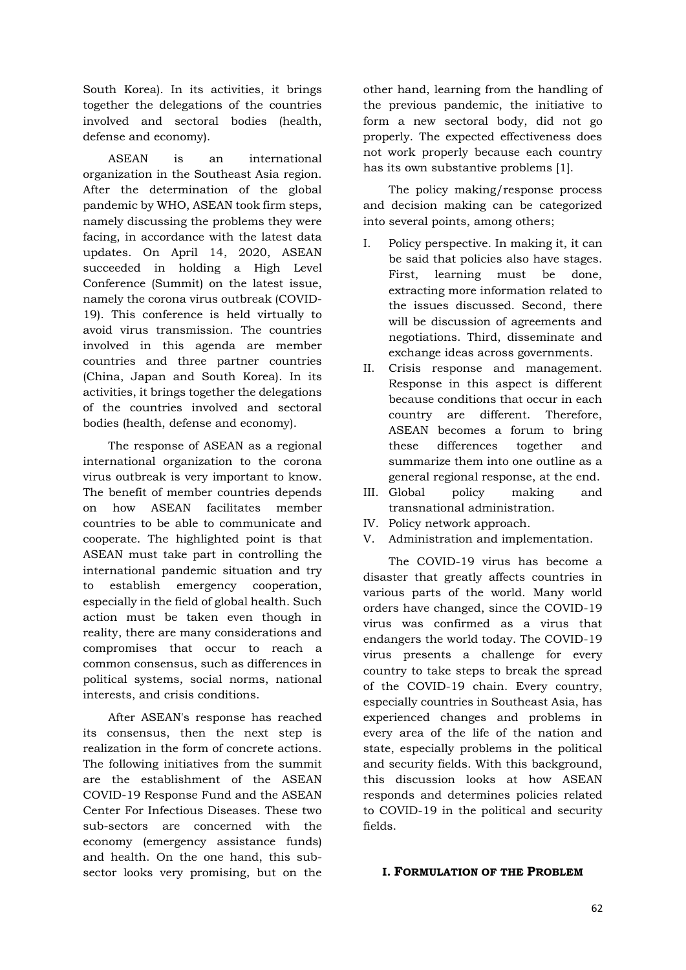South Korea). In its activities, it brings together the delegations of the countries involved and sectoral bodies (health, defense and economy).

ASEAN is an international organization in the Southeast Asia region. After the determination of the global pandemic by WHO, ASEAN took firm steps, namely discussing the problems they were facing, in accordance with the latest data updates. On April 14, 2020, ASEAN succeeded in holding a High Level Conference (Summit) on the latest issue, namely the corona virus outbreak (COVID-19). This conference is held virtually to avoid virus transmission. The countries involved in this agenda are member countries and three partner countries (China, Japan and South Korea). In its activities, it brings together the delegations of the countries involved and sectoral bodies (health, defense and economy).

The response of ASEAN as a regional international organization to the corona virus outbreak is very important to know. The benefit of member countries depends on how ASEAN facilitates member countries to be able to communicate and cooperate. The highlighted point is that ASEAN must take part in controlling the international pandemic situation and try to establish emergency cooperation, especially in the field of global health. Such action must be taken even though in reality, there are many considerations and compromises that occur to reach a common consensus, such as differences in political systems, social norms, national interests, and crisis conditions.

After ASEAN's response has reached its consensus, then the next step is realization in the form of concrete actions. The following initiatives from the summit are the establishment of the ASEAN COVID-19 Response Fund and the ASEAN Center For Infectious Diseases. These two sub-sectors are concerned with the economy (emergency assistance funds) and health. On the one hand, this subsector looks very promising, but on the

other hand, learning from the handling of the previous pandemic, the initiative to form a new sectoral body, did not go properly. The expected effectiveness does not work properly because each country has its own substantive problems [1].

The policy making/response process and decision making can be categorized into several points, among others;

- I. Policy perspective. In making it, it can be said that policies also have stages. First, learning must be done, extracting more information related to the issues discussed. Second, there will be discussion of agreements and negotiations. Third, disseminate and exchange ideas across governments.
- II. Crisis response and management. Response in this aspect is different because conditions that occur in each country are different. Therefore, ASEAN becomes a forum to bring these differences together and summarize them into one outline as a general regional response, at the end.
- III. Global policy making and transnational administration.
- IV. Policy network approach.
- V. Administration and implementation.

The COVID-19 virus has become a disaster that greatly affects countries in various parts of the world. Many world orders have changed, since the COVID-19 virus was confirmed as a virus that endangers the world today. The COVID-19 virus presents a challenge for every country to take steps to break the spread of the COVID-19 chain. Every country, especially countries in Southeast Asia, has experienced changes and problems in every area of the life of the nation and state, especially problems in the political and security fields. With this background, this discussion looks at how ASEAN responds and determines policies related to COVID-19 in the political and security fields.

#### **I. FORMULATION OF THE PROBLEM**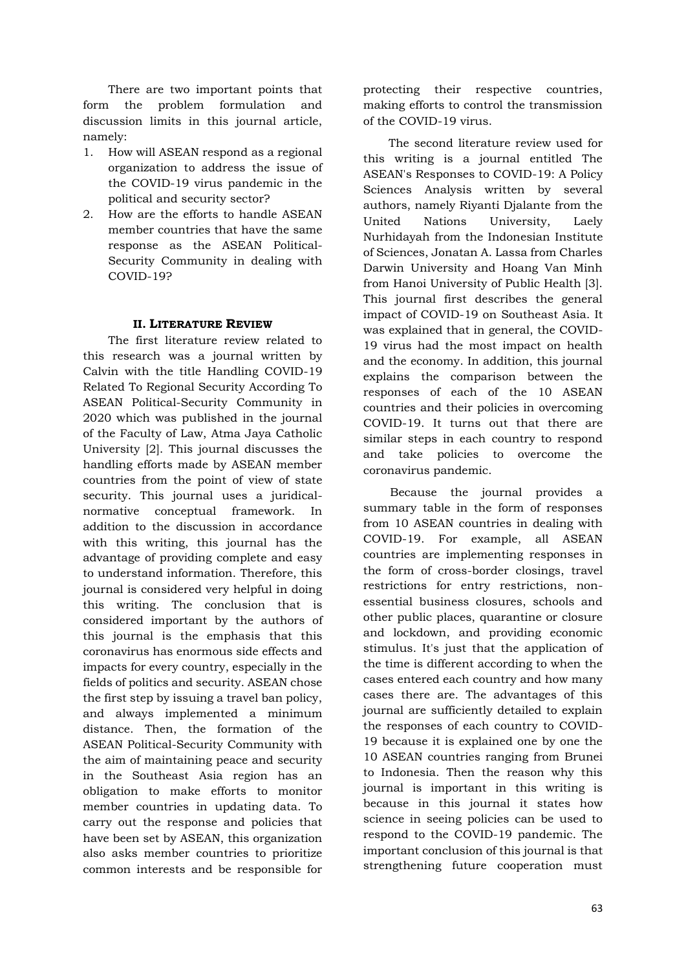There are two important points that form the problem formulation and discussion limits in this journal article, namely:

- 1. How will ASEAN respond as a regional organization to address the issue of the COVID-19 virus pandemic in the political and security sector?
- 2. How are the efforts to handle ASEAN member countries that have the same response as the ASEAN Political-Security Community in dealing with COVID-19?

## **II. LITERATURE REVIEW**

The first literature review related to this research was a journal written by Calvin with the title Handling COVID-19 Related To Regional Security According To ASEAN Political-Security Community in 2020 which was published in the journal of the Faculty of Law, Atma Jaya Catholic University [2]. This journal discusses the handling efforts made by ASEAN member countries from the point of view of state security. This journal uses a juridicalnormative conceptual framework. In addition to the discussion in accordance with this writing, this journal has the advantage of providing complete and easy to understand information. Therefore, this journal is considered very helpful in doing this writing. The conclusion that is considered important by the authors of this journal is the emphasis that this coronavirus has enormous side effects and impacts for every country, especially in the fields of politics and security. ASEAN chose the first step by issuing a travel ban policy, and always implemented a minimum distance. Then, the formation of the ASEAN Political-Security Community with the aim of maintaining peace and security in the Southeast Asia region has an obligation to make efforts to monitor member countries in updating data. To carry out the response and policies that have been set by ASEAN, this organization also asks member countries to prioritize common interests and be responsible for

protecting their respective countries, making efforts to control the transmission of the COVID-19 virus.

The second literature review used for this writing is a journal entitled The ASEAN's Responses to COVID-19: A Policy Sciences Analysis written by several authors, namely Riyanti Djalante from the United Nations University, Laely Nurhidayah from the Indonesian Institute of Sciences, Jonatan A. Lassa from Charles Darwin University and Hoang Van Minh from Hanoi University of Public Health [3]. This journal first describes the general impact of COVID-19 on Southeast Asia. It was explained that in general, the COVID-19 virus had the most impact on health and the economy. In addition, this journal explains the comparison between the responses of each of the 10 ASEAN countries and their policies in overcoming COVID-19. It turns out that there are similar steps in each country to respond and take policies to overcome the coronavirus pandemic.

Because the journal provides a summary table in the form of responses from 10 ASEAN countries in dealing with COVID-19. For example, all ASEAN countries are implementing responses in the form of cross-border closings, travel restrictions for entry restrictions, nonessential business closures, schools and other public places, quarantine or closure and lockdown, and providing economic stimulus. It's just that the application of the time is different according to when the cases entered each country and how many cases there are. The advantages of this journal are sufficiently detailed to explain the responses of each country to COVID-19 because it is explained one by one the 10 ASEAN countries ranging from Brunei to Indonesia. Then the reason why this journal is important in this writing is because in this journal it states how science in seeing policies can be used to respond to the COVID-19 pandemic. The important conclusion of this journal is that strengthening future cooperation must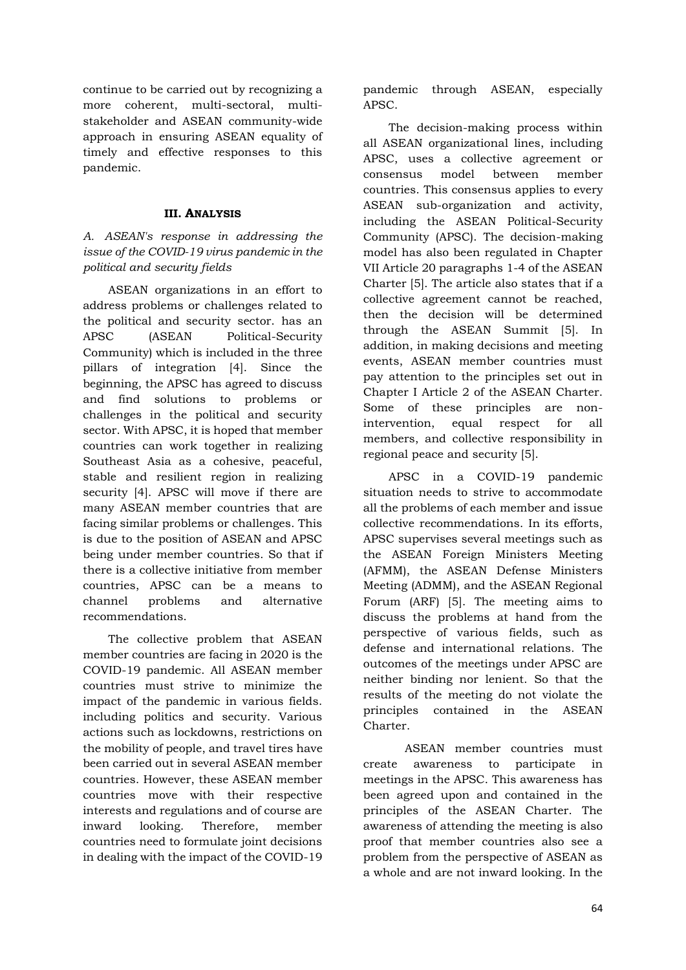continue to be carried out by recognizing a more coherent, multi-sectoral, multistakeholder and ASEAN community-wide approach in ensuring ASEAN equality of timely and effective responses to this pandemic.

# **III. ANALYSIS**

*A. ASEAN's response in addressing the issue of the COVID-19 virus pandemic in the political and security fields*

ASEAN organizations in an effort to address problems or challenges related to the political and security sector. has an APSC (ASEAN Political-Security Community) which is included in the three pillars of integration [4]. Since the beginning, the APSC has agreed to discuss and find solutions to problems or challenges in the political and security sector. With APSC, it is hoped that member countries can work together in realizing Southeast Asia as a cohesive, peaceful, stable and resilient region in realizing security [4]. APSC will move if there are many ASEAN member countries that are facing similar problems or challenges. This is due to the position of ASEAN and APSC being under member countries. So that if there is a collective initiative from member countries, APSC can be a means to channel problems and alternative recommendations.

The collective problem that ASEAN member countries are facing in 2020 is the COVID-19 pandemic. All ASEAN member countries must strive to minimize the impact of the pandemic in various fields. including politics and security. Various actions such as lockdowns, restrictions on the mobility of people, and travel tires have been carried out in several ASEAN member countries. However, these ASEAN member countries move with their respective interests and regulations and of course are inward looking. Therefore, member countries need to formulate joint decisions in dealing with the impact of the COVID-19

pandemic through ASEAN, especially APSC.

The decision-making process within all ASEAN organizational lines, including APSC, uses a collective agreement or consensus model between member countries. This consensus applies to every ASEAN sub-organization and activity, including the ASEAN Political-Security Community (APSC). The decision-making model has also been regulated in Chapter VII Article 20 paragraphs 1-4 of the ASEAN Charter [5]. The article also states that if a collective agreement cannot be reached, then the decision will be determined through the ASEAN Summit [5]. In addition, in making decisions and meeting events, ASEAN member countries must pay attention to the principles set out in Chapter I Article 2 of the ASEAN Charter. Some of these principles are nonintervention, equal respect for all members, and collective responsibility in regional peace and security [5].

APSC in a COVID-19 pandemic situation needs to strive to accommodate all the problems of each member and issue collective recommendations. In its efforts, APSC supervises several meetings such as the ASEAN Foreign Ministers Meeting (AFMM), the ASEAN Defense Ministers Meeting (ADMM), and the ASEAN Regional Forum (ARF) [5]. The meeting aims to discuss the problems at hand from the perspective of various fields, such as defense and international relations. The outcomes of the meetings under APSC are neither binding nor lenient. So that the results of the meeting do not violate the principles contained in the ASEAN Charter.

ASEAN member countries must create awareness to participate in meetings in the APSC. This awareness has been agreed upon and contained in the principles of the ASEAN Charter. The awareness of attending the meeting is also proof that member countries also see a problem from the perspective of ASEAN as a whole and are not inward looking. In the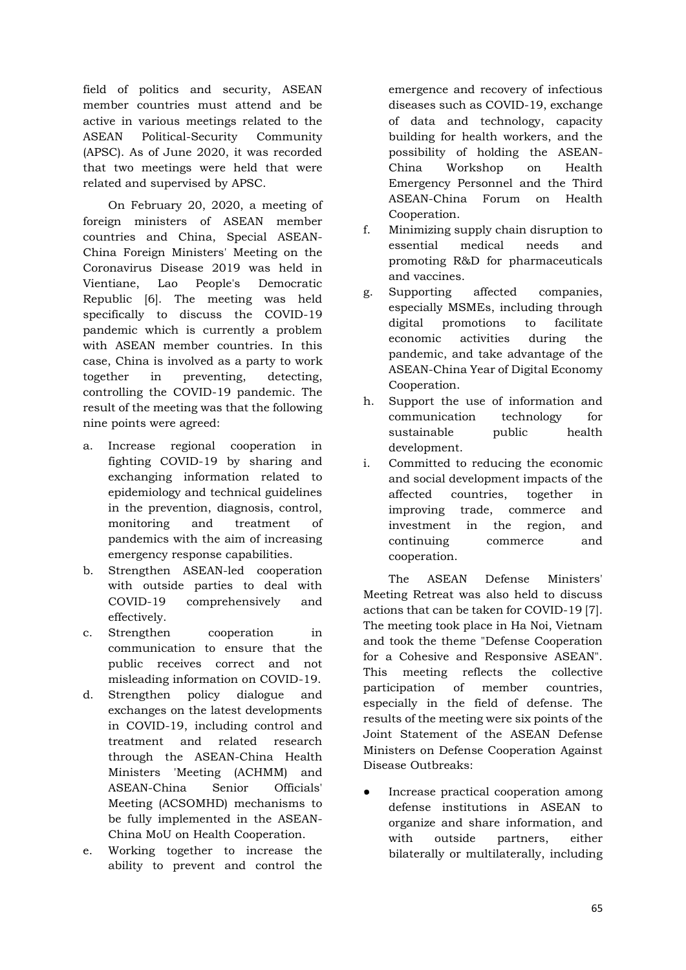field of politics and security, ASEAN member countries must attend and be active in various meetings related to the ASEAN Political-Security Community (APSC). As of June 2020, it was recorded that two meetings were held that were related and supervised by APSC.

On February 20, 2020, a meeting of foreign ministers of ASEAN member countries and China, Special ASEAN-China Foreign Ministers' Meeting on the Coronavirus Disease 2019 was held in Vientiane, Lao People's Democratic Republic [6]. The meeting was held specifically to discuss the COVID-19 pandemic which is currently a problem with ASEAN member countries. In this case, China is involved as a party to work together in preventing, detecting, controlling the COVID-19 pandemic. The result of the meeting was that the following nine points were agreed:

- a. Increase regional cooperation in fighting COVID-19 by sharing and exchanging information related to epidemiology and technical guidelines in the prevention, diagnosis, control, monitoring and treatment of pandemics with the aim of increasing emergency response capabilities.
- b. Strengthen ASEAN-led cooperation with outside parties to deal with COVID-19 comprehensively and effectively.
- c. Strengthen cooperation in communication to ensure that the public receives correct and not misleading information on COVID-19.
- d. Strengthen policy dialogue and exchanges on the latest developments in COVID-19, including control and treatment and related research through the ASEAN-China Health Ministers 'Meeting (ACHMM) and ASEAN-China Senior Officials' Meeting (ACSOMHD) mechanisms to be fully implemented in the ASEAN-China MoU on Health Cooperation.
- e. Working together to increase the ability to prevent and control the

emergence and recovery of infectious diseases such as COVID-19, exchange of data and technology, capacity building for health workers, and the possibility of holding the ASEAN-China Workshop on Health Emergency Personnel and the Third ASEAN-China Forum on Health Cooperation.

- f. Minimizing supply chain disruption to essential medical needs and promoting R&D for pharmaceuticals and vaccines.
- g. Supporting affected companies, especially MSMEs, including through digital promotions to facilitate economic activities during the pandemic, and take advantage of the ASEAN-China Year of Digital Economy Cooperation.
- h. Support the use of information and communication technology for sustainable public health development.
- i. Committed to reducing the economic and social development impacts of the affected countries, together in improving trade, commerce and investment in the region, and continuing commerce and cooperation.

The ASEAN Defense Ministers' Meeting Retreat was also held to discuss actions that can be taken for COVID-19 [7]. The meeting took place in Ha Noi, Vietnam and took the theme "Defense Cooperation for a Cohesive and Responsive ASEAN". This meeting reflects the collective participation of member countries, especially in the field of defense. The results of the meeting were six points of the Joint Statement of the ASEAN Defense Ministers on Defense Cooperation Against Disease Outbreaks:

Increase practical cooperation among defense institutions in ASEAN to organize and share information, and with outside partners, either bilaterally or multilaterally, including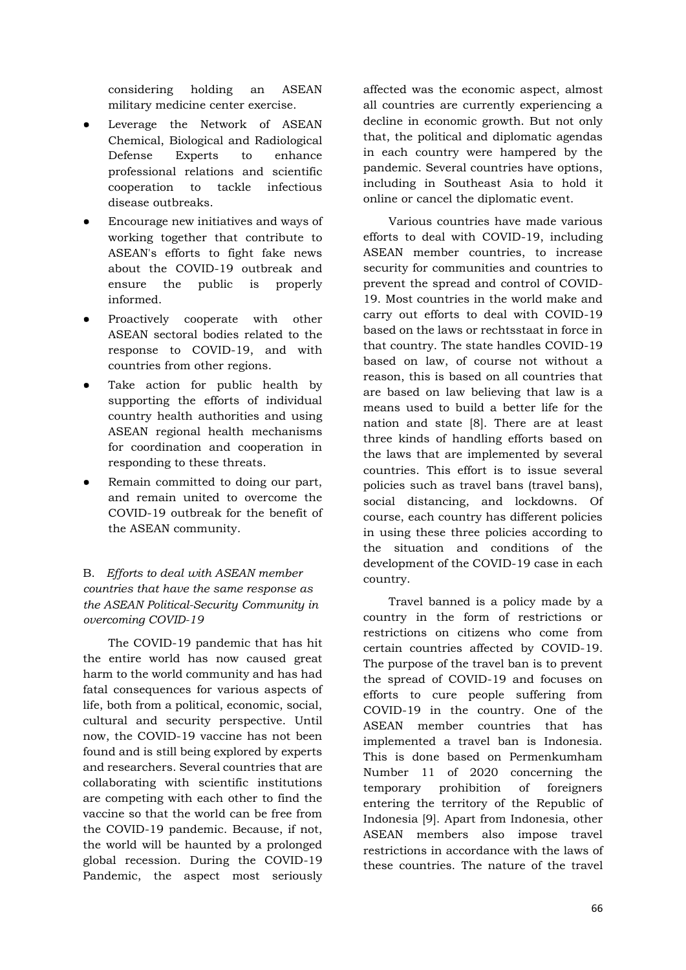considering holding an ASEAN military medicine center exercise.

- Leverage the Network of ASEAN Chemical, Biological and Radiological Defense Experts to enhance professional relations and scientific cooperation to tackle infectious disease outbreaks.
- Encourage new initiatives and ways of working together that contribute to ASEAN's efforts to fight fake news about the COVID-19 outbreak and ensure the public is properly informed.
- Proactively cooperate with other ASEAN sectoral bodies related to the response to COVID-19, and with countries from other regions.
- Take action for public health by supporting the efforts of individual country health authorities and using ASEAN regional health mechanisms for coordination and cooperation in responding to these threats.
- Remain committed to doing our part, and remain united to overcome the COVID-19 outbreak for the benefit of the ASEAN community.

# B. *Efforts to deal with ASEAN member countries that have the same response as the ASEAN Political-Security Community in overcoming COVID-19*

The COVID-19 pandemic that has hit the entire world has now caused great harm to the world community and has had fatal consequences for various aspects of life, both from a political, economic, social, cultural and security perspective. Until now, the COVID-19 vaccine has not been found and is still being explored by experts and researchers. Several countries that are collaborating with scientific institutions are competing with each other to find the vaccine so that the world can be free from the COVID-19 pandemic. Because, if not, the world will be haunted by a prolonged global recession. During the COVID-19 Pandemic, the aspect most seriously affected was the economic aspect, almost all countries are currently experiencing a decline in economic growth. But not only that, the political and diplomatic agendas in each country were hampered by the pandemic. Several countries have options, including in Southeast Asia to hold it online or cancel the diplomatic event.

Various countries have made various efforts to deal with COVID-19, including ASEAN member countries, to increase security for communities and countries to prevent the spread and control of COVID-19. Most countries in the world make and carry out efforts to deal with COVID-19 based on the laws or rechtsstaat in force in that country. The state handles COVID-19 based on law, of course not without a reason, this is based on all countries that are based on law believing that law is a means used to build a better life for the nation and state [8]. There are at least three kinds of handling efforts based on the laws that are implemented by several countries. This effort is to issue several policies such as travel bans (travel bans), social distancing, and lockdowns. Of course, each country has different policies in using these three policies according to the situation and conditions of the development of the COVID-19 case in each country.

Travel banned is a policy made by a country in the form of restrictions or restrictions on citizens who come from certain countries affected by COVID-19. The purpose of the travel ban is to prevent the spread of COVID-19 and focuses on efforts to cure people suffering from COVID-19 in the country. One of the ASEAN member countries that has implemented a travel ban is Indonesia. This is done based on Permenkumham Number 11 of 2020 concerning the temporary prohibition of foreigners entering the territory of the Republic of Indonesia [9]. Apart from Indonesia, other ASEAN members also impose travel restrictions in accordance with the laws of these countries. The nature of the travel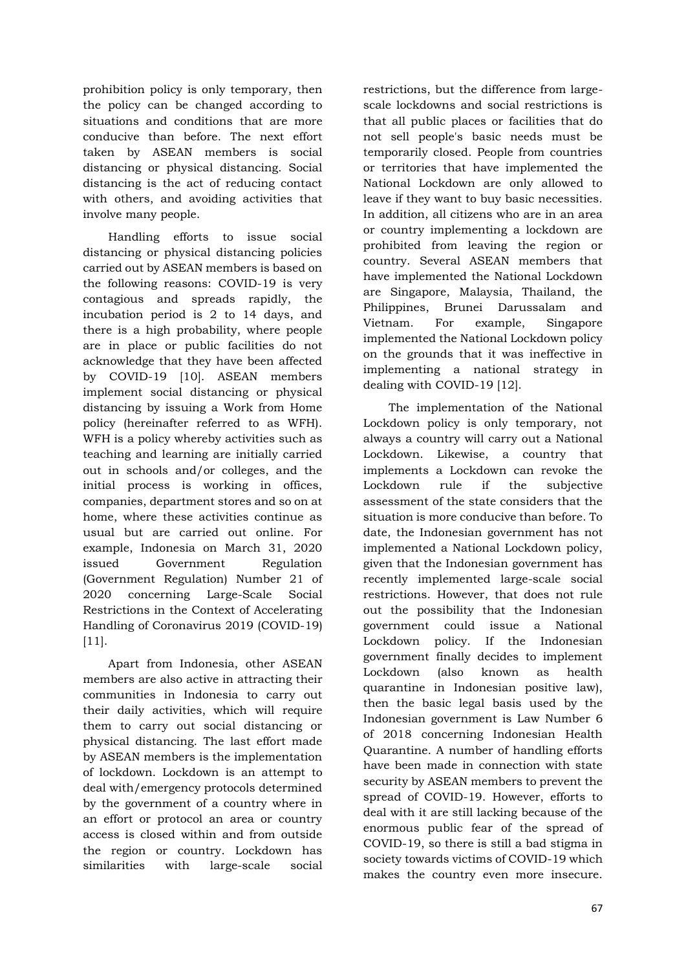prohibition policy is only temporary, then the policy can be changed according to situations and conditions that are more conducive than before. The next effort taken by ASEAN members is social distancing or physical distancing. Social distancing is the act of reducing contact with others, and avoiding activities that involve many people.

Handling efforts to issue social distancing or physical distancing policies carried out by ASEAN members is based on the following reasons: COVID-19 is very contagious and spreads rapidly, the incubation period is 2 to 14 days, and there is a high probability, where people are in place or public facilities do not acknowledge that they have been affected by COVID-19 [10]. ASEAN members implement social distancing or physical distancing by issuing a Work from Home policy (hereinafter referred to as WFH). WFH is a policy whereby activities such as teaching and learning are initially carried out in schools and/or colleges, and the initial process is working in offices, companies, department stores and so on at home, where these activities continue as usual but are carried out online. For example, Indonesia on March 31, 2020 issued Government Regulation (Government Regulation) Number 21 of 2020 concerning Large-Scale Social Restrictions in the Context of Accelerating Handling of Coronavirus 2019 (COVID-19) [11].

Apart from Indonesia, other ASEAN members are also active in attracting their communities in Indonesia to carry out their daily activities, which will require them to carry out social distancing or physical distancing. The last effort made by ASEAN members is the implementation of lockdown. Lockdown is an attempt to deal with/emergency protocols determined by the government of a country where in an effort or protocol an area or country access is closed within and from outside the region or country. Lockdown has similarities with large-scale social

restrictions, but the difference from largescale lockdowns and social restrictions is that all public places or facilities that do not sell people's basic needs must be temporarily closed. People from countries or territories that have implemented the National Lockdown are only allowed to leave if they want to buy basic necessities. In addition, all citizens who are in an area or country implementing a lockdown are prohibited from leaving the region or country. Several ASEAN members that have implemented the National Lockdown are Singapore, Malaysia, Thailand, the Philippines, Brunei Darussalam and Vietnam. For example, Singapore implemented the National Lockdown policy on the grounds that it was ineffective in implementing a national strategy in dealing with COVID-19 [12].

The implementation of the National Lockdown policy is only temporary, not always a country will carry out a National Lockdown. Likewise, a country that implements a Lockdown can revoke the Lockdown rule if the subjective assessment of the state considers that the situation is more conducive than before. To date, the Indonesian government has not implemented a National Lockdown policy, given that the Indonesian government has recently implemented large-scale social restrictions. However, that does not rule out the possibility that the Indonesian government could issue a National Lockdown policy. If the Indonesian government finally decides to implement Lockdown (also known as health quarantine in Indonesian positive law), then the basic legal basis used by the Indonesian government is Law Number 6 of 2018 concerning Indonesian Health Quarantine. A number of handling efforts have been made in connection with state security by ASEAN members to prevent the spread of COVID-19. However, efforts to deal with it are still lacking because of the enormous public fear of the spread of COVID-19, so there is still a bad stigma in society towards victims of COVID-19 which makes the country even more insecure.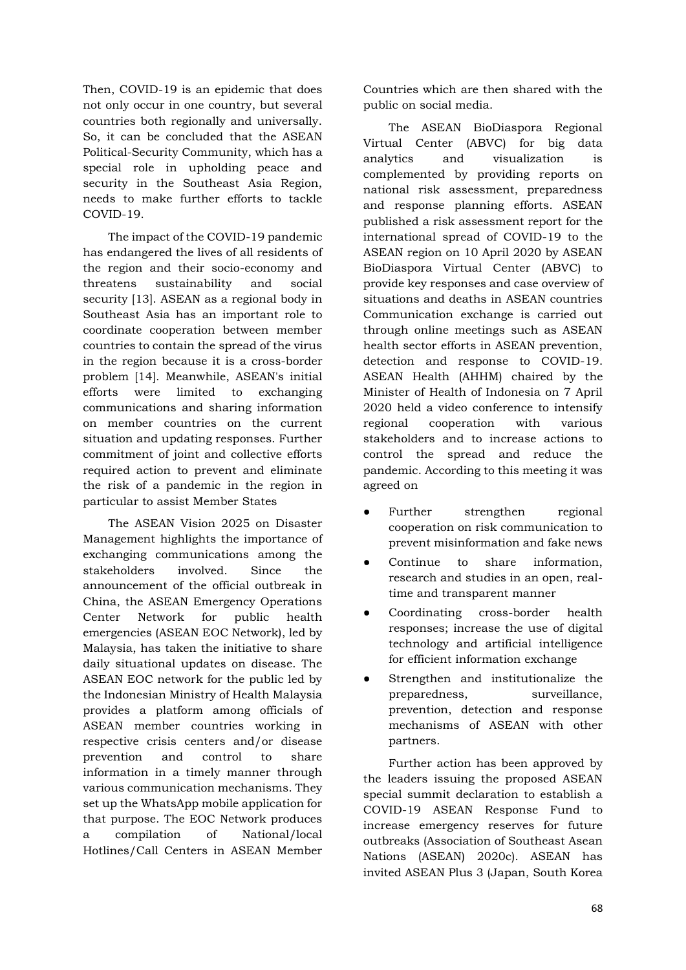Then, COVID-19 is an epidemic that does not only occur in one country, but several countries both regionally and universally. So, it can be concluded that the ASEAN Political-Security Community, which has a special role in upholding peace and security in the Southeast Asia Region, needs to make further efforts to tackle COVID-19.

The impact of the COVID-19 pandemic has endangered the lives of all residents of the region and their socio-economy and threatens sustainability and social security [13]. ASEAN as a regional body in Southeast Asia has an important role to coordinate cooperation between member countries to contain the spread of the virus in the region because it is a cross-border problem [14]. Meanwhile, ASEAN's initial efforts were limited to exchanging communications and sharing information on member countries on the current situation and updating responses. Further commitment of joint and collective efforts required action to prevent and eliminate the risk of a pandemic in the region in particular to assist Member States

The ASEAN Vision 2025 on Disaster Management highlights the importance of exchanging communications among the stakeholders involved. Since the announcement of the official outbreak in China, the ASEAN Emergency Operations Center Network for public health emergencies (ASEAN EOC Network), led by Malaysia, has taken the initiative to share daily situational updates on disease. The ASEAN EOC network for the public led by the Indonesian Ministry of Health Malaysia provides a platform among officials of ASEAN member countries working in respective crisis centers and/or disease prevention and control to share information in a timely manner through various communication mechanisms. They set up the WhatsApp mobile application for that purpose. The EOC Network produces a compilation of National/local Hotlines/Call Centers in ASEAN Member

Countries which are then shared with the public on social media.

The ASEAN BioDiaspora Regional Virtual Center (ABVC) for big data analytics and visualization is complemented by providing reports on national risk assessment, preparedness and response planning efforts. ASEAN published a risk assessment report for the international spread of COVID-19 to the ASEAN region on 10 April 2020 by ASEAN BioDiaspora Virtual Center (ABVC) to provide key responses and case overview of situations and deaths in ASEAN countries Communication exchange is carried out through online meetings such as ASEAN health sector efforts in ASEAN prevention, detection and response to COVID-19. ASEAN Health (AHHM) chaired by the Minister of Health of Indonesia on 7 April 2020 held a video conference to intensify regional cooperation with various stakeholders and to increase actions to control the spread and reduce the pandemic. According to this meeting it was agreed on

- Further strengthen regional cooperation on risk communication to prevent misinformation and fake news
- Continue to share information, research and studies in an open, realtime and transparent manner
- Coordinating cross-border health responses; increase the use of digital technology and artificial intelligence for efficient information exchange
- Strengthen and institutionalize the preparedness, surveillance, prevention, detection and response mechanisms of ASEAN with other partners.

Further action has been approved by the leaders issuing the proposed ASEAN special summit declaration to establish a COVID-19 ASEAN Response Fund to increase emergency reserves for future outbreaks (Association of Southeast Asean Nations (ASEAN) 2020c). ASEAN has invited ASEAN Plus 3 (Japan, South Korea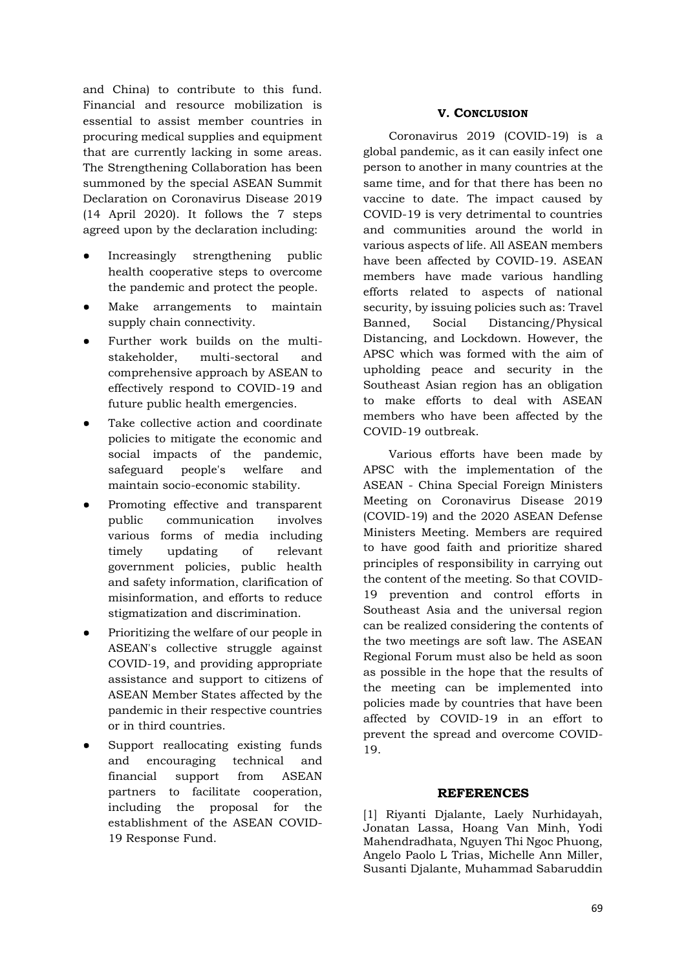and China) to contribute to this fund. Financial and resource mobilization is essential to assist member countries in procuring medical supplies and equipment that are currently lacking in some areas. The Strengthening Collaboration has been summoned by the special ASEAN Summit Declaration on Coronavirus Disease 2019 (14 April 2020). It follows the 7 steps agreed upon by the declaration including:

- Increasingly strengthening public health cooperative steps to overcome the pandemic and protect the people.
- Make arrangements to maintain supply chain connectivity.
- Further work builds on the multistakeholder, multi-sectoral and comprehensive approach by ASEAN to effectively respond to COVID-19 and future public health emergencies.
- Take collective action and coordinate policies to mitigate the economic and social impacts of the pandemic, safeguard people's welfare and maintain socio-economic stability.
- Promoting effective and transparent public communication involves various forms of media including timely updating of relevant government policies, public health and safety information, clarification of misinformation, and efforts to reduce stigmatization and discrimination.
- Prioritizing the welfare of our people in ASEAN's collective struggle against COVID-19, and providing appropriate assistance and support to citizens of ASEAN Member States affected by the pandemic in their respective countries or in third countries.
- Support reallocating existing funds and encouraging technical and financial support from ASEAN partners to facilitate cooperation, including the proposal for the establishment of the ASEAN COVID-19 Response Fund.

# **V. CONCLUSION**

Coronavirus 2019 (COVID-19) is a global pandemic, as it can easily infect one person to another in many countries at the same time, and for that there has been no vaccine to date. The impact caused by COVID-19 is very detrimental to countries and communities around the world in various aspects of life. All ASEAN members have been affected by COVID-19. ASEAN members have made various handling efforts related to aspects of national security, by issuing policies such as: Travel Banned, Social Distancing/Physical Distancing, and Lockdown. However, the APSC which was formed with the aim of upholding peace and security in the Southeast Asian region has an obligation to make efforts to deal with ASEAN members who have been affected by the COVID-19 outbreak.

Various efforts have been made by APSC with the implementation of the ASEAN - China Special Foreign Ministers Meeting on Coronavirus Disease 2019 (COVID-19) and the 2020 ASEAN Defense Ministers Meeting. Members are required to have good faith and prioritize shared principles of responsibility in carrying out the content of the meeting. So that COVID-19 prevention and control efforts in Southeast Asia and the universal region can be realized considering the contents of the two meetings are soft law. The ASEAN Regional Forum must also be held as soon as possible in the hope that the results of the meeting can be implemented into policies made by countries that have been affected by COVID-19 in an effort to prevent the spread and overcome COVID-19.

#### **REFERENCES**

[1] Riyanti Djalante, Laely Nurhidayah, Jonatan Lassa, Hoang Van Minh, Yodi Mahendradhata, Nguyen Thi Ngoc Phuong, Angelo Paolo L Trias, Michelle Ann Miller, Susanti Djalante, Muhammad Sabaruddin